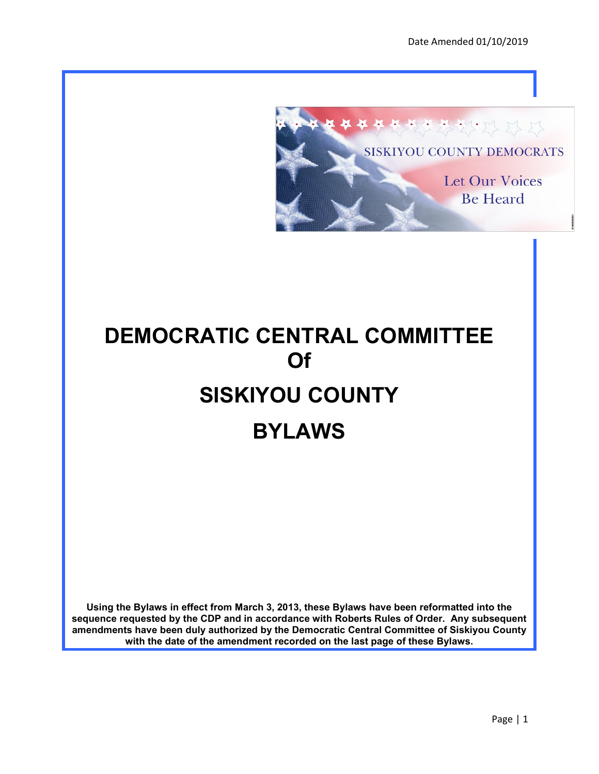

# **DEMOCRATIC CENTRAL COMMITTEE Of SISKIYOU COUNTY BYLAWS**

**Using the Bylaws in effect from March 3, 2013, these Bylaws have been reformatted into the sequence requested by the CDP and in accordance with Roberts Rules of Order. Any subsequent amendments have been duly authorized by the Democratic Central Committee of Siskiyou County with the date of the amendment recorded on the last page of these Bylaws.**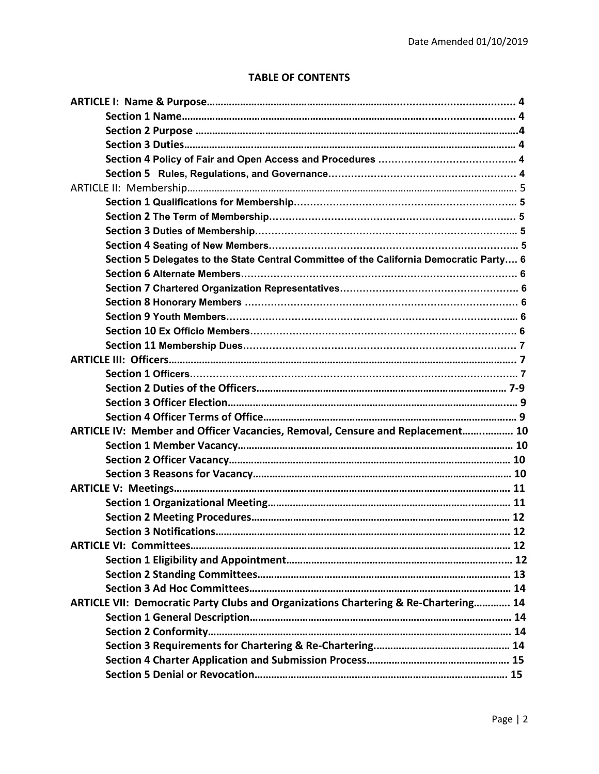# **TABLE OF CONTENTS**

| Section 5 Delegates to the State Central Committee of the California Democratic Party 6 |  |
|-----------------------------------------------------------------------------------------|--|
|                                                                                         |  |
|                                                                                         |  |
|                                                                                         |  |
|                                                                                         |  |
|                                                                                         |  |
|                                                                                         |  |
|                                                                                         |  |
|                                                                                         |  |
|                                                                                         |  |
|                                                                                         |  |
|                                                                                         |  |
| ARTICLE IV: Member and Officer Vacancies, Removal, Censure and Replacement 10           |  |
|                                                                                         |  |
|                                                                                         |  |
|                                                                                         |  |
|                                                                                         |  |
|                                                                                         |  |
|                                                                                         |  |
|                                                                                         |  |
|                                                                                         |  |
|                                                                                         |  |
|                                                                                         |  |
|                                                                                         |  |
| ARTICLE VII: Democratic Party Clubs and Organizations Chartering & Re-Chartering 14     |  |
|                                                                                         |  |
|                                                                                         |  |
|                                                                                         |  |
|                                                                                         |  |
|                                                                                         |  |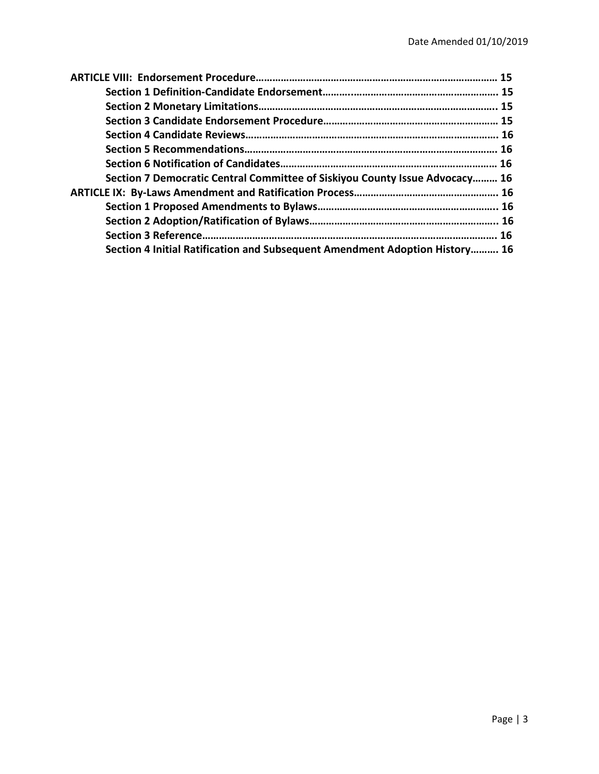| Section 7 Democratic Central Committee of Siskiyou County Issue Advocacy 16 |  |
|-----------------------------------------------------------------------------|--|
|                                                                             |  |
|                                                                             |  |
|                                                                             |  |
|                                                                             |  |
| Section 4 Initial Ratification and Subsequent Amendment Adoption History 16 |  |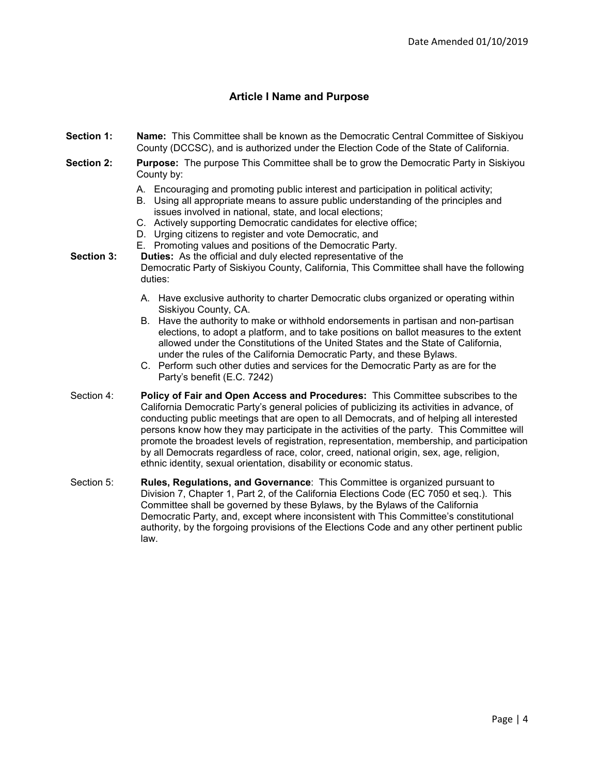## **Article I Name and Purpose**

- **Section 1: Name:** This Committee shall be known as the Democratic Central Committee of Siskiyou County (DCCSC), and is authorized under the Election Code of the State of California.
- **Section 2: Purpose:** The purpose This Committee shall be to grow the Democratic Party in Siskiyou County by:
	- A. Encouraging and promoting public interest and participation in political activity;
	- B. Using all appropriate means to assure public understanding of the principles and issues involved in national, state, and local elections;
	- C. Actively supporting Democratic candidates for elective office;
	- D. Urging citizens to register and vote Democratic, and
	- E. Promoting values and positions of the Democratic Party.
- **Section 3: Duties:** As the official and duly elected representative of the Democratic Party of Siskiyou County, California, This Committee shall have the following duties:
	- A. Have exclusive authority to charter Democratic clubs organized or operating within Siskiyou County, CA.
	- B. Have the authority to make or withhold endorsements in partisan and non-partisan elections, to adopt a platform, and to take positions on ballot measures to the extent allowed under the Constitutions of the United States and the State of California, under the rules of the California Democratic Party, and these Bylaws.
	- C. Perform such other duties and services for the Democratic Party as are for the Party's benefit (E.C. 7242)
- Section 4: **Policy of Fair and Open Access and Procedures:** This Committee subscribes to the California Democratic Party's general policies of publicizing its activities in advance, of conducting public meetings that are open to all Democrats, and of helping all interested persons know how they may participate in the activities of the party. This Committee will promote the broadest levels of registration, representation, membership, and participation by all Democrats regardless of race, color, creed, national origin, sex, age, religion, ethnic identity, sexual orientation, disability or economic status.
- Section 5: **Rules, Regulations, and Governance**: This Committee is organized pursuant to Division 7, Chapter 1, Part 2, of the California Elections Code (EC 7050 et seq.). This Committee shall be governed by these Bylaws, by the Bylaws of the California Democratic Party, and, except where inconsistent with This Committee's constitutional authority, by the forgoing provisions of the Elections Code and any other pertinent public law.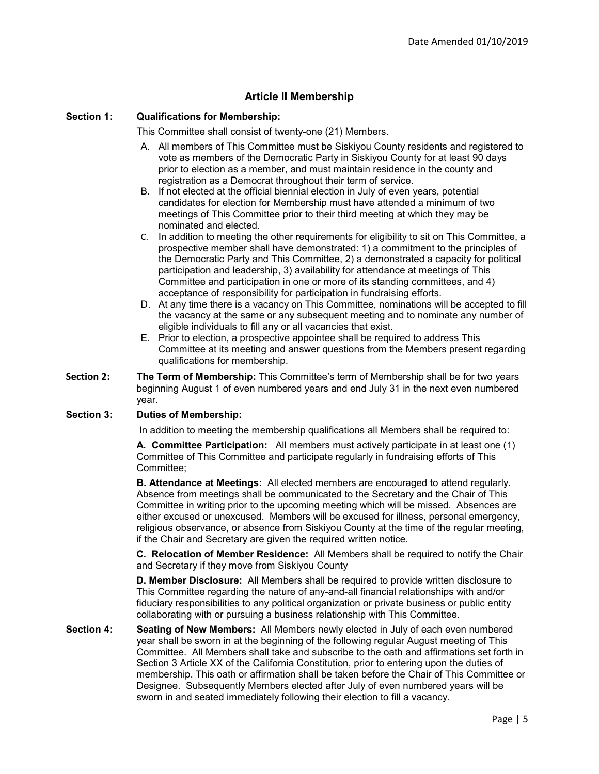## **Article II Membership**

#### **Section 1: Qualifications for Membership:**

This Committee shall consist of twenty-one (21) Members.

- A. All members of This Committee must be Siskiyou County residents and registered to vote as members of the Democratic Party in Siskiyou County for at least 90 days prior to election as a member, and must maintain residence in the county and registration as a Democrat throughout their term of service.
- B. If not elected at the official biennial election in July of even years, potential candidates for election for Membership must have attended a minimum of two meetings of This Committee prior to their third meeting at which they may be nominated and elected.
- C. In addition to meeting the other requirements for eligibility to sit on This Committee, a prospective member shall have demonstrated: 1) a commitment to the principles of the Democratic Party and This Committee, 2) a demonstrated a capacity for political participation and leadership, 3) availability for attendance at meetings of This Committee and participation in one or more of its standing committees, and 4) acceptance of responsibility for participation in fundraising efforts.
- D. At any time there is a vacancy on This Committee, nominations will be accepted to fill the vacancy at the same or any subsequent meeting and to nominate any number of eligible individuals to fill any or all vacancies that exist.
- E. Prior to election, a prospective appointee shall be required to address This Committee at its meeting and answer questions from the Members present regarding qualifications for membership.
- **Section 2: The Term of Membership:** This Committee's term of Membership shall be for two years beginning August 1 of even numbered years and end July 31 in the next even numbered year.

#### **Section 3: Duties of Membership:**

In addition to meeting the membership qualifications all Members shall be required to:

**A***.* **Committee Participation:** All members must actively participate in at least one (1) Committee of This Committee and participate regularly in fundraising efforts of This Committee;

**B. Attendance at Meetings:** All elected members are encouraged to attend regularly. Absence from meetings shall be communicated to the Secretary and the Chair of This Committee in writing prior to the upcoming meeting which will be missed. Absences are either excused or unexcused. Members will be excused for illness, personal emergency, religious observance, or absence from Siskiyou County at the time of the regular meeting, if the Chair and Secretary are given the required written notice.

**C. Relocation of Member Residence:** All Members shall be required to notify the Chair and Secretary if they move from Siskiyou County

**D. Member Disclosure:** All Members shall be required to provide written disclosure to This Committee regarding the nature of any-and-all financial relationships with and/or fiduciary responsibilities to any political organization or private business or public entity collaborating with or pursuing a business relationship with This Committee.

**Section 4: Seating of New Members:** All Members newly elected in July of each even numbered year shall be sworn in at the beginning of the following regular August meeting of This Committee. All Members shall take and subscribe to the oath and affirmations set forth in Section 3 Article XX of the California Constitution, prior to entering upon the duties of membership. This oath or affirmation shall be taken before the Chair of This Committee or Designee. Subsequently Members elected after July of even numbered years will be sworn in and seated immediately following their election to fill a vacancy.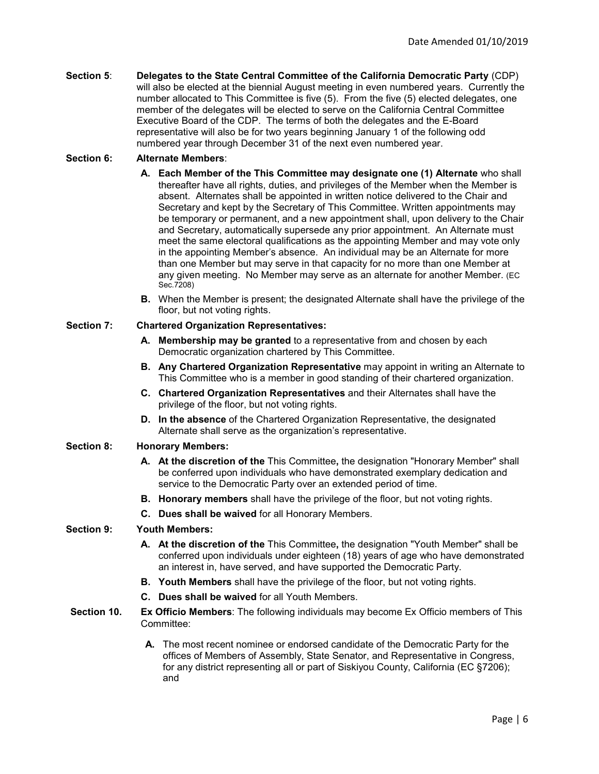| Section 5: | Delegates to the State Central Committee of the California Democratic Party (CDP)         |
|------------|-------------------------------------------------------------------------------------------|
|            | will also be elected at the biennial August meeting in even numbered years. Currently the |
|            | number allocated to This Committee is five (5). From the five (5) elected delegates, one  |
|            | member of the delegates will be elected to serve on the California Central Committee      |
|            | Executive Board of the CDP. The terms of both the delegates and the E-Board               |
|            | representative will also be for two years beginning January 1 of the following odd        |
|            | numbered year through December 31 of the next even numbered year.                         |

## **Section 6: Alternate Members**:

- **A. Each Member of the This Committee may designate one (1) Alternate** who shall thereafter have all rights, duties, and privileges of the Member when the Member is absent. Alternates shall be appointed in written notice delivered to the Chair and Secretary and kept by the Secretary of This Committee. Written appointments may be temporary or permanent, and a new appointment shall, upon delivery to the Chair and Secretary, automatically supersede any prior appointment. An Alternate must meet the same electoral qualifications as the appointing Member and may vote only in the appointing Member's absence. An individual may be an Alternate for more than one Member but may serve in that capacity for no more than one Member at any given meeting. No Member may serve as an alternate for another Member. (EC Sec.7208)
	- **B.** When the Member is present; the designated Alternate shall have the privilege of the floor, but not voting rights.

#### **Section 7: Chartered Organization Representatives:**

- **A. Membership may be granted** to a representative from and chosen by each Democratic organization chartered by This Committee.
- **B. Any Chartered Organization Representative** may appoint in writing an Alternate to This Committee who is a member in good standing of their chartered organization.
- **C. Chartered Organization Representatives** and their Alternates shall have the privilege of the floor, but not voting rights.
- **D. In the absence** of the Chartered Organization Representative, the designated Alternate shall serve as the organization's representative.

#### **Section 8: Honorary Members:**

- **A. At the discretion of the** This Committee**,** the designation "Honorary Member" shall be conferred upon individuals who have demonstrated exemplary dedication and service to the Democratic Party over an extended period of time.
- **B. Honorary members** shall have the privilege of the floor, but not voting rights.
- **C. Dues shall be waived** for all Honorary Members.

#### **Section 9: Youth Members:**

- **A. At the discretion of the** This Committee**,** the designation "Youth Member" shall be conferred upon individuals under eighteen (18) years of age who have demonstrated an interest in, have served, and have supported the Democratic Party.
- **B. Youth Members** shall have the privilege of the floor, but not voting rights.
- **C. Dues shall be waived** for all Youth Members.
- **Section 10. Ex Officio Members**: The following individuals may become Ex Officio members of This Committee:
	- **A.** The most recent nominee or endorsed candidate of the Democratic Party for the offices of Members of Assembly, State Senator, and Representative in Congress, for any district representing all or part of Siskiyou County, California (EC §7206); and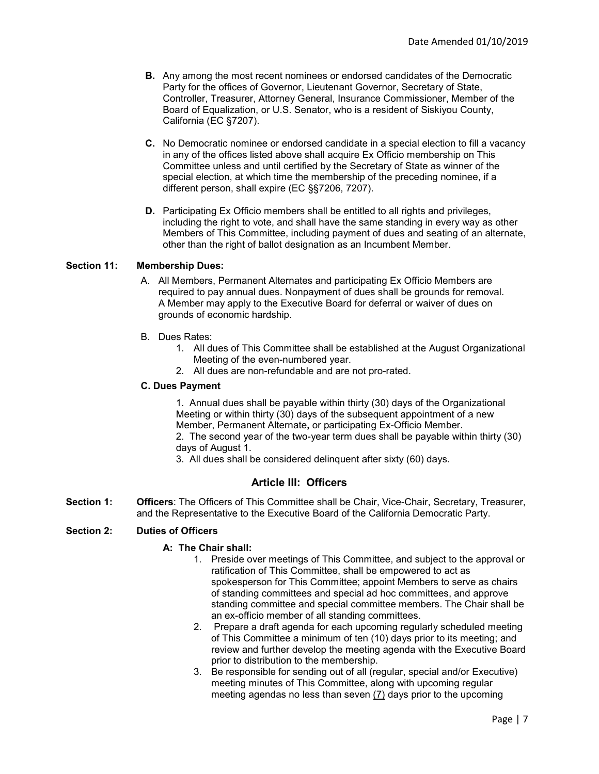- **B.** Any among the most recent nominees or endorsed candidates of the Democratic Party for the offices of Governor, Lieutenant Governor, Secretary of State, Controller, Treasurer, Attorney General, Insurance Commissioner, Member of the Board of Equalization, or U.S. Senator, who is a resident of Siskiyou County, California (EC §7207).
- **C.** No Democratic nominee or endorsed candidate in a special election to fill a vacancy in any of the offices listed above shall acquire Ex Officio membership on This Committee unless and until certified by the Secretary of State as winner of the special election, at which time the membership of the preceding nominee, if a different person, shall expire (EC §§7206, 7207).
- **D.** Participating Ex Officio members shall be entitled to all rights and privileges, including the right to vote, and shall have the same standing in every way as other Members of This Committee, including payment of dues and seating of an alternate, other than the right of ballot designation as an Incumbent Member.

#### **Section 11: Membership Dues:**

- A. All Members, Permanent Alternates and participating Ex Officio Members are required to pay annual dues. Nonpayment of dues shall be grounds for removal. A Member may apply to the Executive Board for deferral or waiver of dues on grounds of economic hardship.
- B. Dues Rates:
	- 1. All dues of This Committee shall be established at the August Organizational Meeting of the even-numbered year.
	- 2. All dues are non-refundable and are not pro-rated.

#### **C. Dues Payment**

1. Annual dues shall be payable within thirty (30) days of the Organizational Meeting or within thirty (30) days of the subsequent appointment of a new Member, Permanent Alternate**,** or participating Ex-Officio Member. 2. The second year of the two-year term dues shall be payable within thirty (30) days of August 1.

3. All dues shall be considered delinquent after sixty (60) days.

## **Article III: Officers**

**Section 1: Officers**: The Officers of This Committee shall be Chair, Vice-Chair, Secretary, Treasurer, and the Representative to the Executive Board of the California Democratic Party.

#### **Section 2: Duties of Officers**

#### **A: The Chair shall:**

- 1. Preside over meetings of This Committee, and subject to the approval or ratification of This Committee, shall be empowered to act as spokesperson for This Committee; appoint Members to serve as chairs of standing committees and special ad hoc committees, and approve standing committee and special committee members. The Chair shall be an ex-officio member of all standing committees.
- 2. Prepare a draft agenda for each upcoming regularly scheduled meeting of This Committee a minimum of ten (10) days prior to its meeting; and review and further develop the meeting agenda with the Executive Board prior to distribution to the membership.
- 3. Be responsible for sending out of all (regular, special and/or Executive) meeting minutes of This Committee, along with upcoming regular meeting agendas no less than seven (7) days prior to the upcoming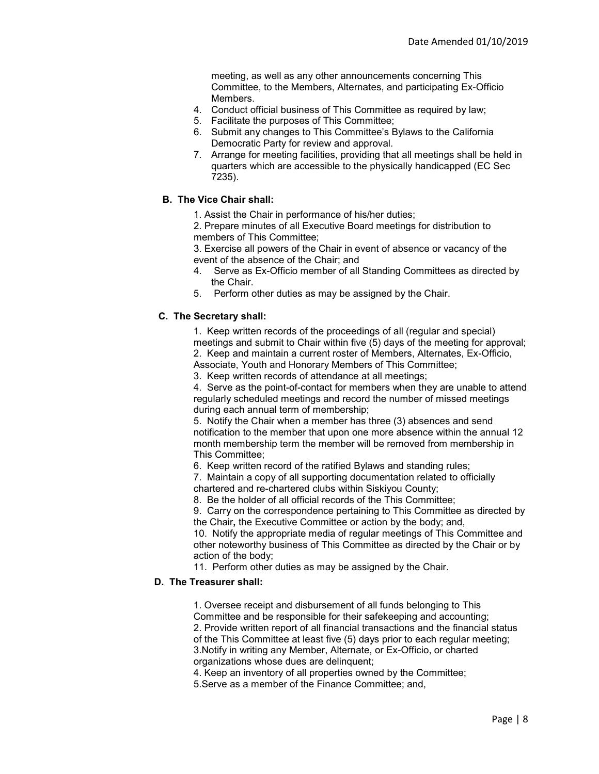meeting, as well as any other announcements concerning This Committee, to the Members, Alternates, and participating Ex-Officio Members.

- 4. Conduct official business of This Committee as required by law;
- 5. Facilitate the purposes of This Committee;
- 6. Submit any changes to This Committee's Bylaws to the California Democratic Party for review and approval.
- 7. Arrange for meeting facilities, providing that all meetings shall be held in quarters which are accessible to the physically handicapped (EC Sec 7235).

## **B. The Vice Chair shall:**

1. Assist the Chair in performance of his/her duties;

2. Prepare minutes of all Executive Board meetings for distribution to members of This Committee;

- 3. Exercise all powers of the Chair in event of absence or vacancy of the event of the absence of the Chair; and
- 4. Serve as Ex-Officio member of all Standing Committees as directed by the Chair.
- 5. Perform other duties as may be assigned by the Chair.

#### **C. The Secretary shall:**

1. Keep written records of the proceedings of all (regular and special) meetings and submit to Chair within five (5) days of the meeting for approval; 2. Keep and maintain a current roster of Members, Alternates, Ex-Officio, Associate, Youth and Honorary Members of This Committee;

3. Keep written records of attendance at all meetings;

4. Serve as the point-of-contact for members when they are unable to attend regularly scheduled meetings and record the number of missed meetings during each annual term of membership;

5. Notify the Chair when a member has three (3) absences and send notification to the member that upon one more absence within the annual 12 month membership term the member will be removed from membership in This Committee;

6. Keep written record of the ratified Bylaws and standing rules;

7. Maintain a copy of all supporting documentation related to officially chartered and re-chartered clubs within Siskiyou County;

8. Be the holder of all official records of the This Committee;

9. Carry on the correspondence pertaining to This Committee as directed by the Chair**,** the Executive Committee or action by the body; and,

10. Notify the appropriate media of regular meetings of This Committee and other noteworthy business of This Committee as directed by the Chair or by action of the body;

11. Perform other duties as may be assigned by the Chair.

## **D. The Treasurer shall:**

1. Oversee receipt and disbursement of all funds belonging to This Committee and be responsible for their safekeeping and accounting; 2. Provide written report of all financial transactions and the financial status of the This Committee at least five (5) days prior to each regular meeting; 3.Notify in writing any Member, Alternate, or Ex-Officio, or charted organizations whose dues are delinquent;

4. Keep an inventory of all properties owned by the Committee;

5.Serve as a member of the Finance Committee; and,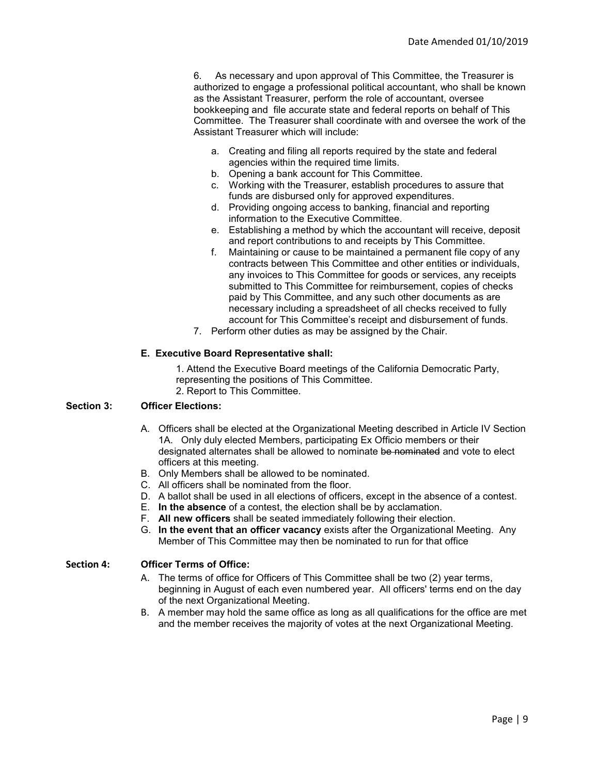6. As necessary and upon approval of This Committee, the Treasurer is authorized to engage a professional political accountant, who shall be known as the Assistant Treasurer, perform the role of accountant, oversee bookkeeping and file accurate state and federal reports on behalf of This Committee. The Treasurer shall coordinate with and oversee the work of the Assistant Treasurer which will include:

- a. Creating and filing all reports required by the state and federal agencies within the required time limits.
- b. Opening a bank account for This Committee.
- c. Working with the Treasurer, establish procedures to assure that funds are disbursed only for approved expenditures.
- d. Providing ongoing access to banking, financial and reporting information to the Executive Committee.
- e. Establishing a method by which the accountant will receive, deposit and report contributions to and receipts by This Committee.
- f. Maintaining or cause to be maintained a permanent file copy of any contracts between This Committee and other entities or individuals, any invoices to This Committee for goods or services, any receipts submitted to This Committee for reimbursement, copies of checks paid by This Committee, and any such other documents as are necessary including a spreadsheet of all checks received to fully account for This Committee's receipt and disbursement of funds.
- 7. Perform other duties as may be assigned by the Chair.

#### **E. Executive Board Representative shall:**

1. Attend the Executive Board meetings of the California Democratic Party, representing the positions of This Committee.

2. Report to This Committee.

#### **Section 3: Officer Elections:**

- A. Officers shall be elected at the Organizational Meeting described in Article IV Section 1A. Only duly elected Members, participating Ex Officio members or their designated alternates shall be allowed to nominate be nominated and vote to elect officers at this meeting.
- B. Only Members shall be allowed to be nominated.
- C. All officers shall be nominated from the floor.
- D. A ballot shall be used in all elections of officers, except in the absence of a contest.
- E. **In the absence** of a contest, the election shall be by acclamation.
- F. **All new officers** shall be seated immediately following their election.
- G. **In the event that an officer vacancy** exists after the Organizational Meeting. Any Member of This Committee may then be nominated to run for that office

#### **Section 4: Officer Terms of Office:**

- A. The terms of office for Officers of This Committee shall be two (2) year terms, beginning in August of each even numbered year. All officers' terms end on the day of the next Organizational Meeting.
- B. A member may hold the same office as long as all qualifications for the office are met and the member receives the majority of votes at the next Organizational Meeting.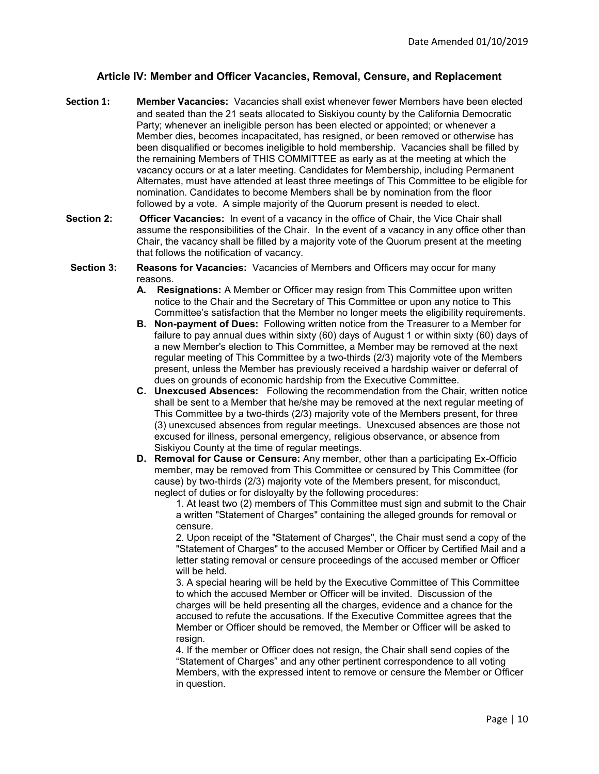## **Article IV: Member and Officer Vacancies, Removal, Censure, and Replacement**

- **Section 1: Member Vacancies:** Vacancies shall exist whenever fewer Members have been elected and seated than the 21 seats allocated to Siskiyou county by the California Democratic Party; whenever an ineligible person has been elected or appointed; or whenever a Member dies, becomes incapacitated, has resigned, or been removed or otherwise has been disqualified or becomes ineligible to hold membership. Vacancies shall be filled by the remaining Members of THIS COMMITTEE as early as at the meeting at which the vacancy occurs or at a later meeting. Candidates for Membership, including Permanent Alternates, must have attended at least three meetings of This Committee to be eligible for nomination. Candidates to become Members shall be by nomination from the floor followed by a vote. A simple majority of the Quorum present is needed to elect.
- **Section 2: Officer Vacancies:** In event of a vacancy in the office of Chair, the Vice Chair shall assume the responsibilities of the Chair. In the event of a vacancy in any office other than Chair, the vacancy shall be filled by a majority vote of the Quorum present at the meeting that follows the notification of vacancy.
- **Section 3: Reasons for Vacancies:** Vacancies of Members and Officers may occur for many reasons.
	- **A. Resignations:** A Member or Officer may resign from This Committee upon written notice to the Chair and the Secretary of This Committee or upon any notice to This Committee's satisfaction that the Member no longer meets the eligibility requirements.
	- **B. Non-payment of Dues:** Following written notice from the Treasurer to a Member for failure to pay annual dues within sixty (60) days of August 1 or within sixty (60) days of a new Member's election to This Committee, a Member may be removed at the next regular meeting of This Committee by a two-thirds (2/3) majority vote of the Members present, unless the Member has previously received a hardship waiver or deferral of dues on grounds of economic hardship from the Executive Committee.
	- **C. Unexcused Absences:** Following the recommendation from the Chair, written notice shall be sent to a Member that he/she may be removed at the next regular meeting of This Committee by a two-thirds (2/3) majority vote of the Members present, for three (3) unexcused absences from regular meetings. Unexcused absences are those not excused for illness, personal emergency, religious observance, or absence from Siskiyou County at the time of regular meetings.
	- **D. Removal for Cause or Censure:** Any member, other than a participating Ex-Officio member, may be removed from This Committee or censured by This Committee (for cause) by two-thirds (2/3) majority vote of the Members present, for misconduct, neglect of duties or for disloyalty by the following procedures:

1. At least two (2) members of This Committee must sign and submit to the Chair a written "Statement of Charges" containing the alleged grounds for removal or censure.

2. Upon receipt of the "Statement of Charges", the Chair must send a copy of the "Statement of Charges" to the accused Member or Officer by Certified Mail and a letter stating removal or censure proceedings of the accused member or Officer will be held.

3. A special hearing will be held by the Executive Committee of This Committee to which the accused Member or Officer will be invited. Discussion of the charges will be held presenting all the charges, evidence and a chance for the accused to refute the accusations. If the Executive Committee agrees that the Member or Officer should be removed, the Member or Officer will be asked to resign.

4. If the member or Officer does not resign, the Chair shall send copies of the "Statement of Charges" and any other pertinent correspondence to all voting Members, with the expressed intent to remove or censure the Member or Officer in question.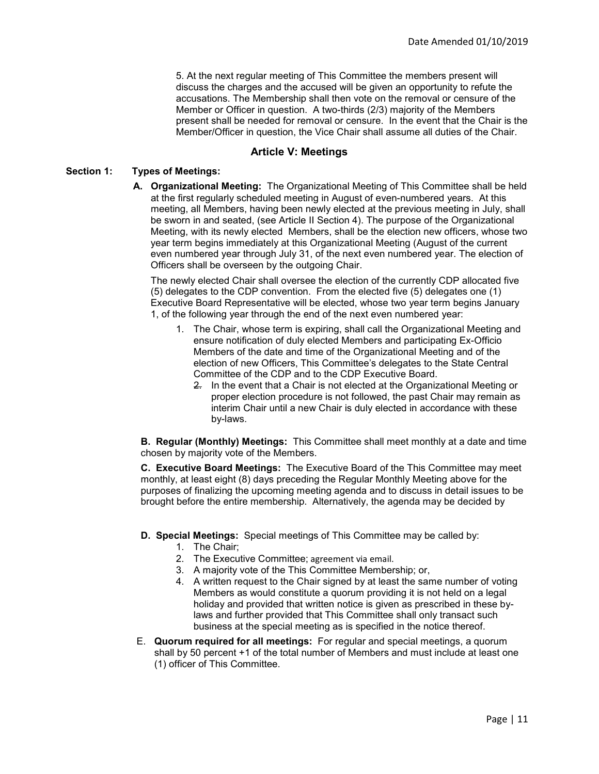5. At the next regular meeting of This Committee the members present will discuss the charges and the accused will be given an opportunity to refute the accusations. The Membership shall then vote on the removal or censure of the Member or Officer in question. A two-thirds (2/3) majority of the Members present shall be needed for removal or censure. In the event that the Chair is the Member/Officer in question, the Vice Chair shall assume all duties of the Chair.

## **Article V: Meetings**

## **Section 1: Types of Meetings:**

**A. Organizational Meeting:** The Organizational Meeting of This Committee shall be held at the first regularly scheduled meeting in August of even-numbered years. At this meeting, all Members, having been newly elected at the previous meeting in July, shall be sworn in and seated, (see Article II Section 4). The purpose of the Organizational Meeting, with its newly elected Members, shall be the election new officers, whose two year term begins immediately at this Organizational Meeting (August of the current even numbered year through July 31, of the next even numbered year. The election of Officers shall be overseen by the outgoing Chair.

The newly elected Chair shall oversee the election of the currently CDP allocated five (5) delegates to the CDP convention. From the elected five (5) delegates one (1) Executive Board Representative will be elected, whose two year term begins January 1, of the following year through the end of the next even numbered year:

- 1. The Chair, whose term is expiring, shall call the Organizational Meeting and ensure notification of duly elected Members and participating Ex-Officio Members of the date and time of the Organizational Meeting and of the election of new Officers, This Committee's delegates to the State Central Committee of the CDP and to the CDP Executive Board.
	- 2. In the event that a Chair is not elected at the Organizational Meeting or proper election procedure is not followed, the past Chair may remain as interim Chair until a new Chair is duly elected in accordance with these by-laws.

**B. Regular (Monthly) Meetings:** This Committee shall meet monthly at a date and time chosen by majority vote of the Members.

**C. Executive Board Meetings:** The Executive Board of the This Committee may meet monthly, at least eight (8) days preceding the Regular Monthly Meeting above for the purposes of finalizing the upcoming meeting agenda and to discuss in detail issues to be brought before the entire membership. Alternatively, the agenda may be decided by

#### **D. Special Meetings:** Special meetings of This Committee may be called by:

- 1. The Chair;
- 2. The Executive Committee; agreement via email.
- 3. A majority vote of the This Committee Membership; or,
- 4. A written request to the Chair signed by at least the same number of voting Members as would constitute a quorum providing it is not held on a legal holiday and provided that written notice is given as prescribed in these bylaws and further provided that This Committee shall only transact such business at the special meeting as is specified in the notice thereof.
- E. **Quorum required for all meetings:** For regular and special meetings, a quorum shall by 50 percent +1 of the total number of Members and must include at least one (1) officer of This Committee.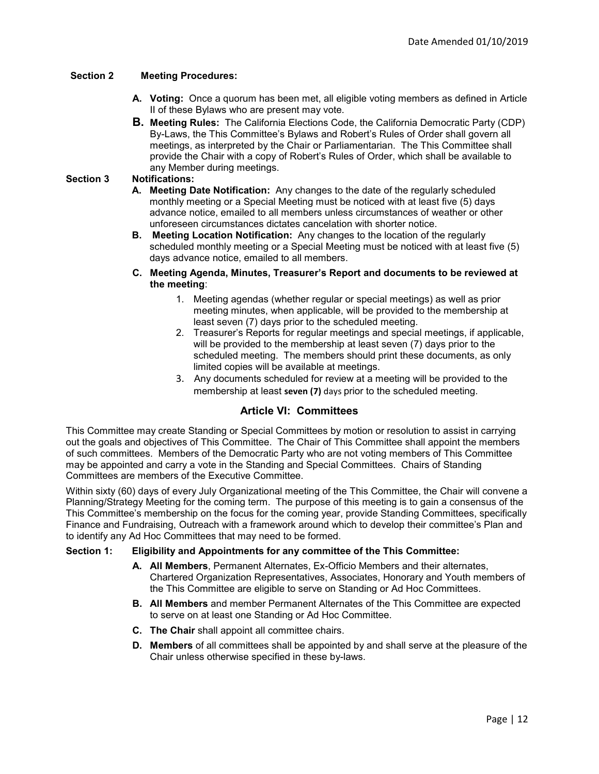## **Section 2 Meeting Procedures:**

- **A. Voting:** Once a quorum has been met, all eligible voting members as defined in Article II of these Bylaws who are present may vote.
- **B. Meeting Rules:** The California Elections Code, the California Democratic Party (CDP) By-Laws, the This Committee's Bylaws and Robert's Rules of Order shall govern all meetings, as interpreted by the Chair or Parliamentarian. The This Committee shall provide the Chair with a copy of Robert's Rules of Order, which shall be available to any Member during meetings.

## **Section 3 Notifications:**

- **A. Meeting Date Notification:** Any changes to the date of the regularly scheduled monthly meeting or a Special Meeting must be noticed with at least five (5) days advance notice, emailed to all members unless circumstances of weather or other unforeseen circumstances dictates cancelation with shorter notice.
- **B. Meeting Location Notification:** Any changes to the location of the regularly scheduled monthly meeting or a Special Meeting must be noticed with at least five (5) days advance notice, emailed to all members.
- **C. Meeting Agenda, Minutes, Treasurer's Report and documents to be reviewed at the meeting**:
	- 1. Meeting agendas (whether regular or special meetings) as well as prior meeting minutes, when applicable, will be provided to the membership at least seven (7) days prior to the scheduled meeting.
	- 2. Treasurer's Reports for regular meetings and special meetings, if applicable, will be provided to the membership at least seven (7) days prior to the scheduled meeting. The members should print these documents, as only limited copies will be available at meetings.
	- 3. Any documents scheduled for review at a meeting will be provided to the membership at least **seven (7)** days prior to the scheduled meeting.

## **Article VI: Committees**

This Committee may create Standing or Special Committees by motion or resolution to assist in carrying out the goals and objectives of This Committee. The Chair of This Committee shall appoint the members of such committees. Members of the Democratic Party who are not voting members of This Committee may be appointed and carry a vote in the Standing and Special Committees. Chairs of Standing Committees are members of the Executive Committee.

Within sixty (60) days of every July Organizational meeting of the This Committee, the Chair will convene a Planning/Strategy Meeting for the coming term. The purpose of this meeting is to gain a consensus of the This Committee's membership on the focus for the coming year, provide Standing Committees, specifically Finance and Fundraising, Outreach with a framework around which to develop their committee's Plan and to identify any Ad Hoc Committees that may need to be formed.

## **Section 1: Eligibility and Appointments for any committee of the This Committee:**

- **A. All Members**, Permanent Alternates, Ex-Officio Members and their alternates, Chartered Organization Representatives, Associates, Honorary and Youth members of the This Committee are eligible to serve on Standing or Ad Hoc Committees.
- **B. All Members** and member Permanent Alternates of the This Committee are expected to serve on at least one Standing or Ad Hoc Committee.
- **C. The Chair** shall appoint all committee chairs.
- **D. Members** of all committees shall be appointed by and shall serve at the pleasure of the Chair unless otherwise specified in these by-laws.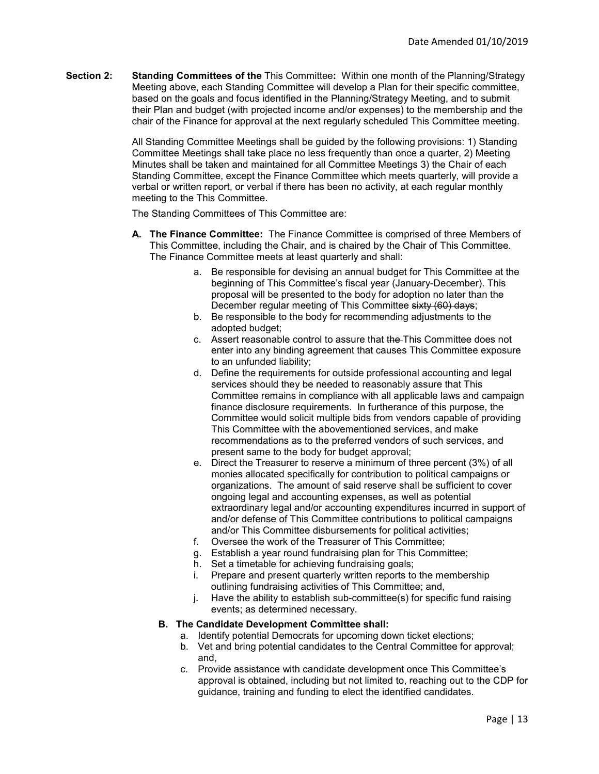**Section 2: Standing Committees of the** This Committee**:** Within one month of the Planning/Strategy Meeting above, each Standing Committee will develop a Plan for their specific committee, based on the goals and focus identified in the Planning/Strategy Meeting, and to submit their Plan and budget (with projected income and/or expenses) to the membership and the chair of the Finance for approval at the next regularly scheduled This Committee meeting.

> All Standing Committee Meetings shall be guided by the following provisions: 1) Standing Committee Meetings shall take place no less frequently than once a quarter, 2) Meeting Minutes shall be taken and maintained for all Committee Meetings 3) the Chair of each Standing Committee, except the Finance Committee which meets quarterly, will provide a verbal or written report, or verbal if there has been no activity, at each regular monthly meeting to the This Committee.

The Standing Committees of This Committee are:

- **A. The Finance Committee:** The Finance Committee is comprised of three Members of This Committee, including the Chair, and is chaired by the Chair of This Committee. The Finance Committee meets at least quarterly and shall:
	- a. Be responsible for devising an annual budget for This Committee at the beginning of This Committee's fiscal year (January-December). This proposal will be presented to the body for adoption no later than the December regular meeting of This Committee sixty (60) days;
	- b. Be responsible to the body for recommending adjustments to the adopted budget;
	- c. Assert reasonable control to assure that the This Committee does not enter into any binding agreement that causes This Committee exposure to an unfunded liability;
	- d. Define the requirements for outside professional accounting and legal services should they be needed to reasonably assure that This Committee remains in compliance with all applicable laws and campaign finance disclosure requirements. In furtherance of this purpose, the Committee would solicit multiple bids from vendors capable of providing This Committee with the abovementioned services, and make recommendations as to the preferred vendors of such services, and present same to the body for budget approval;
	- e. Direct the Treasurer to reserve a minimum of three percent (3%) of all monies allocated specifically for contribution to political campaigns or organizations. The amount of said reserve shall be sufficient to cover ongoing legal and accounting expenses, as well as potential extraordinary legal and/or accounting expenditures incurred in support of and/or defense of This Committee contributions to political campaigns and/or This Committee disbursements for political activities;
	- f. Oversee the work of the Treasurer of This Committee;
	- g. Establish a year round fundraising plan for This Committee;
	- h. Set a timetable for achieving fundraising goals;
	- i. Prepare and present quarterly written reports to the membership outlining fundraising activities of This Committee; and,
	- j. Have the ability to establish sub-committee(s) for specific fund raising events; as determined necessary.

#### **B. The Candidate Development Committee shall:**

- a. Identify potential Democrats for upcoming down ticket elections;
- b. Vet and bring potential candidates to the Central Committee for approval; and,
- c. Provide assistance with candidate development once This Committee's approval is obtained, including but not limited to, reaching out to the CDP for guidance, training and funding to elect the identified candidates.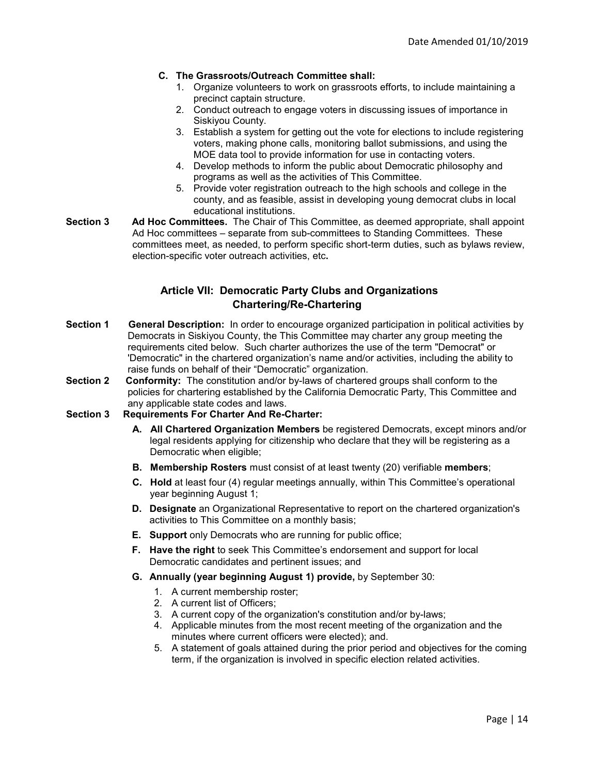## **C. The Grassroots/Outreach Committee shall:**

- 1. Organize volunteers to work on grassroots efforts, to include maintaining a precinct captain structure.
- 2. Conduct outreach to engage voters in discussing issues of importance in Siskiyou County.
- 3. Establish a system for getting out the vote for elections to include registering voters, making phone calls, monitoring ballot submissions, and using the MOE data tool to provide information for use in contacting voters.
- 4. Develop methods to inform the public about Democratic philosophy and programs as well as the activities of This Committee.
- 5. Provide voter registration outreach to the high schools and college in the county, and as feasible, assist in developing young democrat clubs in local educational institutions.
- **Section 3 Ad Hoc Committees.** The Chair of This Committee, as deemed appropriate, shall appoint Ad Hoc committees – separate from sub-committees to Standing Committees. These committees meet, as needed, to perform specific short-term duties, such as bylaws review, election-specific voter outreach activities, etc**.**

## **Article VII: Democratic Party Clubs and Organizations Chartering/Re-Chartering**

- **Section 1 General Description:** In order to encourage organized participation in political activities by Democrats in Siskiyou County, the This Committee may charter any group meeting the requirements cited below. Such charter authorizes the use of the term "Democrat" or 'Democratic" in the chartered organization's name and/or activities, including the ability to raise funds on behalf of their "Democratic" organization.
- **Section 2 Conformity:** The constitution and/or by-laws of chartered groups shall conform to the policies for chartering established by the California Democratic Party, This Committee and any applicable state codes and laws.
- **Section 3 Requirements For Charter And Re-Charter:** 
	- **A. All Chartered Organization Members** be registered Democrats, except minors and/or legal residents applying for citizenship who declare that they will be registering as a Democratic when eligible;
	- **B. Membership Rosters** must consist of at least twenty (20) verifiable **members**;
	- **C. Hold** at least four (4) regular meetings annually, within This Committee's operational year beginning August 1;
	- **D. Designate** an Organizational Representative to report on the chartered organization's activities to This Committee on a monthly basis;
	- **E. Support** only Democrats who are running for public office;
	- **F. Have the right** to seek This Committee's endorsement and support for local Democratic candidates and pertinent issues; and
	- **G. Annually (year beginning August 1) provide,** by September 30:
		- 1. A current membership roster;
		- 2. A current list of Officers;
		- 3. A current copy of the organization's constitution and/or by-laws;
		- 4. Applicable minutes from the most recent meeting of the organization and the minutes where current officers were elected); and.
		- 5. A statement of goals attained during the prior period and objectives for the coming term, if the organization is involved in specific election related activities.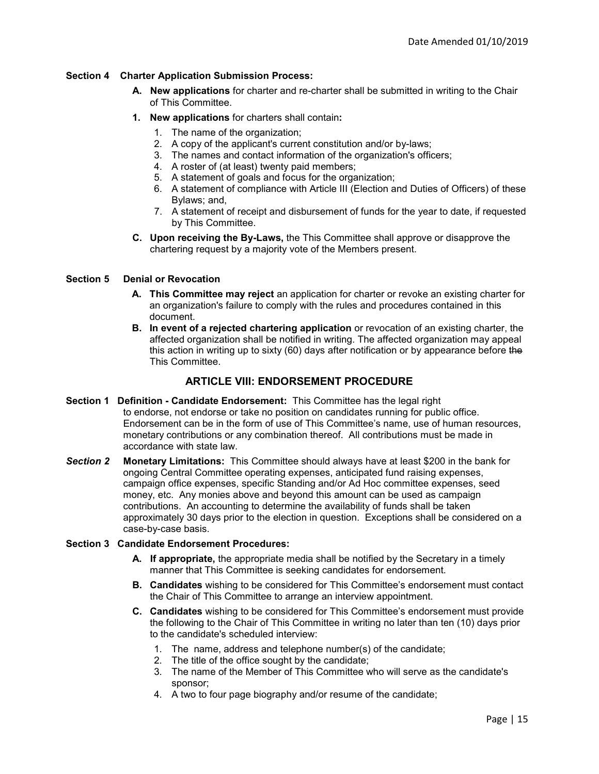## **Section 4 Charter Application Submission Process:**

- **A. New applications** for charter and re-charter shall be submitted in writing to the Chair of This Committee.
- **1. New applications** for charters shall contain**:**
	- 1. The name of the organization;
	- 2. A copy of the applicant's current constitution and/or by-laws;
	- 3. The names and contact information of the organization's officers;
	- 4. A roster of (at least) twenty paid members;
	- 5. A statement of goals and focus for the organization;
	- 6. A statement of compliance with Article III (Election and Duties of Officers) of these Bylaws; and,
	- 7. A statement of receipt and disbursement of funds for the year to date, if requested by This Committee.
- **C. Upon receiving the By-Laws,** the This Committee shall approve or disapprove the chartering request by a majority vote of the Members present.

## **Section 5 Denial or Revocation**

- **A. This Committee may reject** an application for charter or revoke an existing charter for an organization's failure to comply with the rules and procedures contained in this document.
- **B.** In event of a rejected chartering application or revocation of an existing charter, the affected organization shall be notified in writing. The affected organization may appeal this action in writing up to sixty (60) days after notification or by appearance before the This Committee.

## **ARTICLE VIII: ENDORSEMENT PROCEDURE**

- **Section 1 Definition - Candidate Endorsement:** This Committee has the legal right to endorse, not endorse or take no position on candidates running for public office. Endorsement can be in the form of use of This Committee's name, use of human resources, monetary contributions or any combination thereof.All contributions must be made in accordance with state law.
- *Section 2* **Monetary Limitations:** This Committee should always have at least \$200 in the bank for ongoing Central Committee operating expenses, anticipated fund raising expenses, campaign office expenses, specific Standing and/or Ad Hoc committee expenses, seed money, etc. Any monies above and beyond this amount can be used as campaign contributions. An accounting to determine the availability of funds shall be taken approximately 30 days prior to the election in question. Exceptions shall be considered on a case-by-case basis.

## **Section 3 Candidate Endorsement Procedures:**

- **A. If appropriate,** the appropriate media shall be notified by the Secretary in a timely manner that This Committee is seeking candidates for endorsement.
- **B. Candidates** wishing to be considered for This Committee's endorsement must contact the Chair of This Committee to arrange an interview appointment.
- **C. Candidates** wishing to be considered for This Committee's endorsement must provide the following to the Chair of This Committee in writing no later than ten (10) days prior to the candidate's scheduled interview:
	- 1. The name, address and telephone number(s) of the candidate;
	- 2. The title of the office sought by the candidate;
	- 3. The name of the Member of This Committee who will serve as the candidate's sponsor;
	- 4. A two to four page biography and/or resume of the candidate;